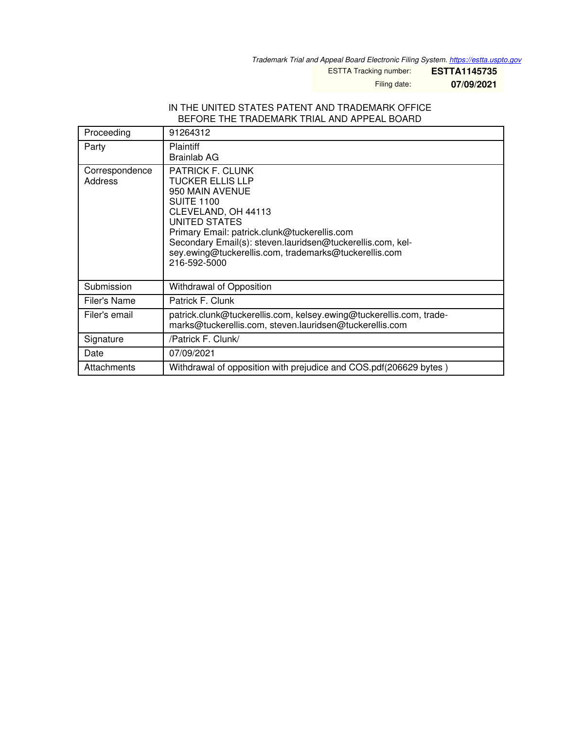*Trademark Trial and Appeal Board Electronic Filing System. <https://estta.uspto.gov>*

ESTTA Tracking number: **ESTTA1145735**

Filing date: **07/09/2021**

## IN THE UNITED STATES PATENT AND TRADEMARK OFFICE BEFORE THE TRADEMARK TRIAL AND APPEAL BOARD

| Proceeding                | 91264312                                                                                                                                                                                                                                                                                                                  |
|---------------------------|---------------------------------------------------------------------------------------------------------------------------------------------------------------------------------------------------------------------------------------------------------------------------------------------------------------------------|
| Party                     | <b>Plaintiff</b><br>Brainlab AG                                                                                                                                                                                                                                                                                           |
| Correspondence<br>Address | <b>PATRICK F. CLUNK</b><br><b>TUCKER ELLIS LLP</b><br>950 MAIN AVENUE<br><b>SUITE 1100</b><br>CLEVELAND, OH 44113<br>UNITED STATES<br>Primary Email: patrick.clunk@tuckerellis.com<br>Secondary Email(s): steven.lauridsen@tuckerellis.com, kel-<br>sey.ewing@tuckerellis.com, trademarks@tuckerellis.com<br>216-592-5000 |
| Submission                | Withdrawal of Opposition                                                                                                                                                                                                                                                                                                  |
| Filer's Name              | Patrick F. Clunk                                                                                                                                                                                                                                                                                                          |
| Filer's email             | patrick.clunk@tuckerellis.com, kelsey.ewing@tuckerellis.com, trade-<br>marks@tuckerellis.com, steven.lauridsen@tuckerellis.com                                                                                                                                                                                            |
| Signature                 | /Patrick F. Clunk/                                                                                                                                                                                                                                                                                                        |
| Date                      | 07/09/2021                                                                                                                                                                                                                                                                                                                |
| Attachments               | Withdrawal of opposition with prejudice and COS.pdf(206629 bytes)                                                                                                                                                                                                                                                         |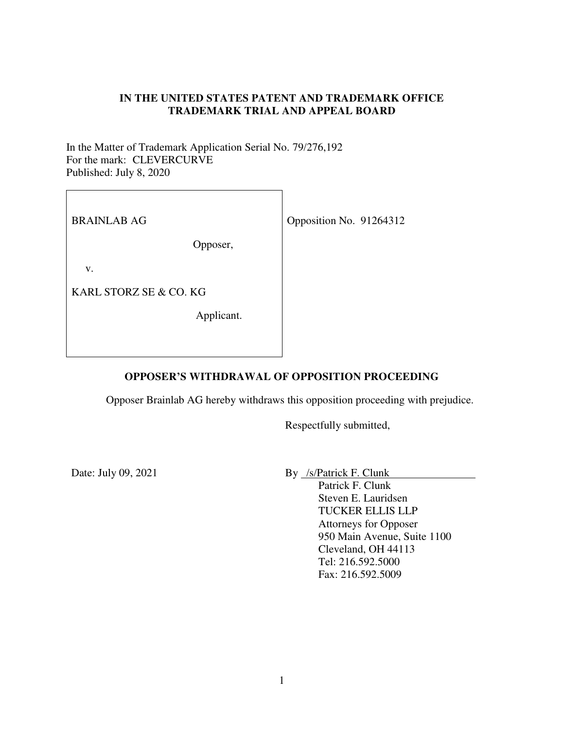## **IN THE UNITED STATES PATENT AND TRADEMARK OFFICE TRADEMARK TRIAL AND APPEAL BOARD**

In the Matter of Trademark Application Serial No. 79/276,192 For the mark: CLEVERCURVE Published: July 8, 2020

BRAINLAB AG

Opposer,

v.

KARL STORZ SE & CO. KG

Applicant.

Opposition No. 91264312

## **OPPOSER'S WITHDRAWAL OF OPPOSITION PROCEEDING**

Opposer Brainlab AG hereby withdraws this opposition proceeding with prejudice.

Respectfully submitted,

Date: July 09, 2021

By /s/Patrick F. Clunk

Patrick F. Clunk Steven E. Lauridsen TUCKER ELLIS LLP Attorneys for Opposer 950 Main Avenue, Suite 1100 Cleveland, OH 44113 Tel: 216.592.5000 Fax: 216.592.5009